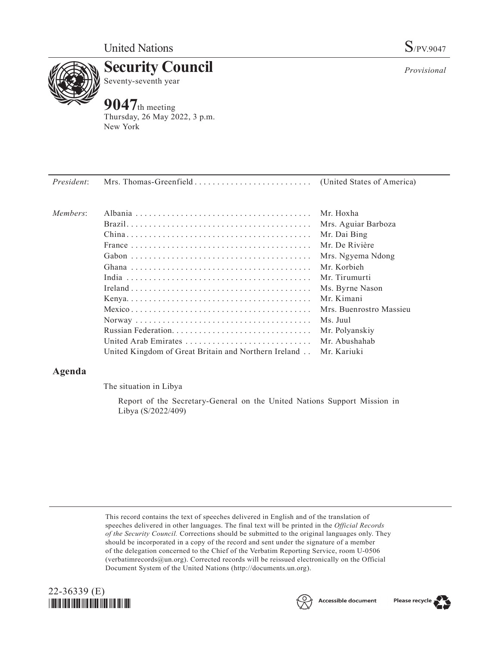

**Security Council** Seventy-seventh year

# **9047**th meeting

Thursday, 26 May 2022, 3 p.m. New York

*Provisional*

*President*: Mrs. Thomas-Greenfield. . . (United States of America) *Members*: Albania. . Mr. Hoxha Brazil. . Mrs. Aguiar Barboza China. . Mr. Dai Bing France. . Mr. De Rivière Gabon. . Mrs. Ngyema Ndong Ghana. . Mr. Korbieh India. . Mr. Tirumurti Ireland. . Ms. Byrne Nason Kenya. . . . . . . . . . . . . . . . . . . . . . . . . . . . . . . . . . . . . . . . . Mr. Kimani Mexico. . Mrs. Buenrostro Massieu Norway. . Ms. Juul Russian Federation. . Mr. Polyanskiy United Arab Emirates. . Mr. Abushahab United Kingdom of Great Britain and Northern Ireland. . Mr. Kariuki

## **Agenda**

The situation in Libya

Report of the Secretary-General on the United Nations Support Mission in Libya (S/2022/409)

This record contains the text of speeches delivered in English and of the translation of speeches delivered in other languages. The final text will be printed in the *Official Records of the Security Council.* Corrections should be submitted to the original languages only. They should be incorporated in a copy of the record and sent under the signature of a member of the delegation concerned to the Chief of the Verbatim Reporting Service, room U-0506 (verbatimrecords@un.org). Corrected records will be reissued electronically on the Official Document System of the United Nations (http://documents.un.org).





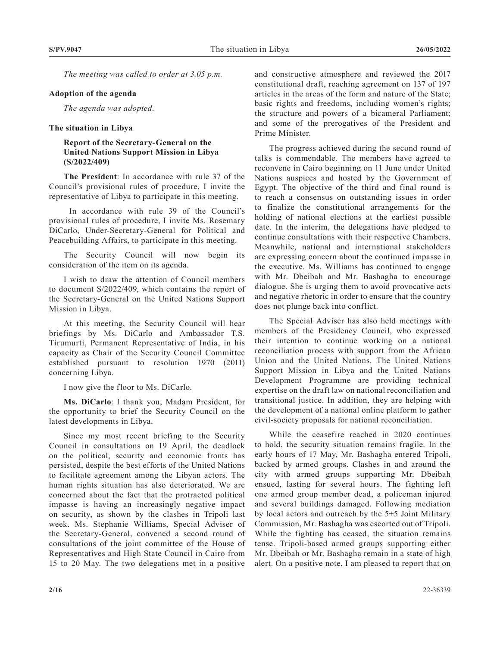*The meeting was called to order at 3.05 p.m.*

#### **Adoption of the agenda**

*The agenda was adopted.*

#### **The situation in Libya**

### **Report of the Secretary-General on the United Nations Support Mission in Libya (S/2022/409)**

**The President**: In accordance with rule 37 of the Council's provisional rules of procedure, I invite the representative of Libya to participate in this meeting.

 In accordance with rule 39 of the Council's provisional rules of procedure, I invite Ms. Rosemary DiCarlo, Under-Secretary-General for Political and Peacebuilding Affairs, to participate in this meeting.

The Security Council will now begin its consideration of the item on its agenda.

I wish to draw the attention of Council members to document S/2022/409, which contains the report of the Secretary-General on the United Nations Support Mission in Libya.

At this meeting, the Security Council will hear briefings by Ms. DiCarlo and Ambassador T.S. Tirumurti, Permanent Representative of India, in his capacity as Chair of the Security Council Committee established pursuant to resolution 1970 (2011) concerning Libya.

I now give the floor to Ms. DiCarlo.

**Ms. DiCarlo**: I thank you, Madam President, for the opportunity to brief the Security Council on the latest developments in Libya.

Since my most recent briefing to the Security Council in consultations on 19 April, the deadlock on the political, security and economic fronts has persisted, despite the best efforts of the United Nations to facilitate agreement among the Libyan actors. The human rights situation has also deteriorated. We are concerned about the fact that the protracted political impasse is having an increasingly negative impact on security, as shown by the clashes in Tripoli last week. Ms. Stephanie Williams, Special Adviser of the Secretary-General, convened a second round of consultations of the joint committee of the House of Representatives and High State Council in Cairo from 15 to 20 May. The two delegations met in a positive

and constructive atmosphere and reviewed the 2017 constitutional draft, reaching agreement on 137 of 197 articles in the areas of the form and nature of the State; basic rights and freedoms, including women's rights; the structure and powers of a bicameral Parliament; and some of the prerogatives of the President and Prime Minister.

The progress achieved during the second round of talks is commendable. The members have agreed to reconvene in Cairo beginning on 11 June under United Nations auspices and hosted by the Government of Egypt. The objective of the third and final round is to reach a consensus on outstanding issues in order to finalize the constitutional arrangements for the holding of national elections at the earliest possible date. In the interim, the delegations have pledged to continue consultations with their respective Chambers. Meanwhile, national and international stakeholders are expressing concern about the continued impasse in the executive. Ms. Williams has continued to engage with Mr. Dbeibah and Mr. Bashagha to encourage dialogue. She is urging them to avoid provocative acts and negative rhetoric in order to ensure that the country does not plunge back into conflict.

The Special Adviser has also held meetings with members of the Presidency Council, who expressed their intention to continue working on a national reconciliation process with support from the African Union and the United Nations. The United Nations Support Mission in Libya and the United Nations Development Programme are providing technical expertise on the draft law on national reconciliation and transitional justice. In addition, they are helping with the development of a national online platform to gather civil-society proposals for national reconciliation.

While the ceasefire reached in 2020 continues to hold, the security situation remains fragile. In the early hours of 17 May, Mr. Bashagha entered Tripoli, backed by armed groups. Clashes in and around the city with armed groups supporting Mr. Dbeibah ensued, lasting for several hours. The fighting left one armed group member dead, a policeman injured and several buildings damaged. Following mediation by local actors and outreach by the 5+5 Joint Military Commission, Mr. Bashagha was escorted out of Tripoli. While the fighting has ceased, the situation remains tense. Tripoli-based armed groups supporting either Mr. Dbeibah or Mr. Bashagha remain in a state of high alert. On a positive note, I am pleased to report that on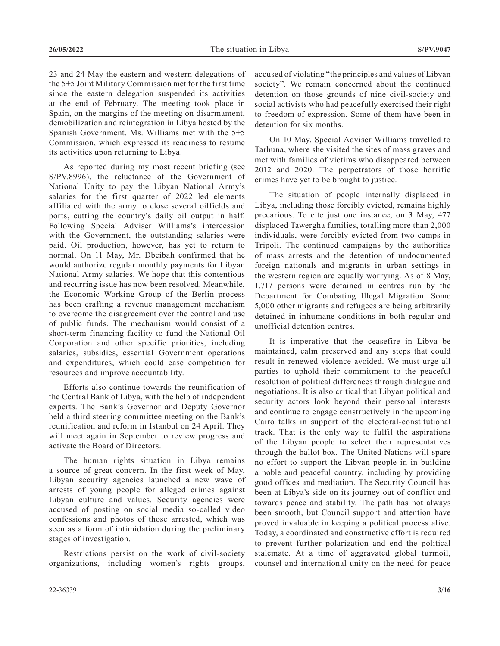23 and 24 May the eastern and western delegations of the 5+5 Joint Military Commission met for the first time since the eastern delegation suspended its activities at the end of February. The meeting took place in Spain, on the margins of the meeting on disarmament, demobilization and reintegration in Libya hosted by the Spanish Government. Ms. Williams met with the 5+5 Commission, which expressed its readiness to resume its activities upon returning to Libya.

As reported during my most recent briefing (see S/PV.8996), the reluctance of the Government of National Unity to pay the Libyan National Army's salaries for the first quarter of 2022 led elements affiliated with the army to close several oilfields and ports, cutting the country's daily oil output in half. Following Special Adviser Williams's intercession with the Government, the outstanding salaries were paid. Oil production, however, has yet to return to normal. On 11 May, Mr. Dbeibah confirmed that he would authorize regular monthly payments for Libyan National Army salaries. We hope that this contentious and recurring issue has now been resolved. Meanwhile, the Economic Working Group of the Berlin process has been crafting a revenue management mechanism to overcome the disagreement over the control and use of public funds. The mechanism would consist of a short-term financing facility to fund the National Oil Corporation and other specific priorities, including salaries, subsidies, essential Government operations and expenditures, which could ease competition for resources and improve accountability.

Efforts also continue towards the reunification of the Central Bank of Libya, with the help of independent experts. The Bank's Governor and Deputy Governor held a third steering committee meeting on the Bank's reunification and reform in Istanbul on 24 April. They will meet again in September to review progress and activate the Board of Directors.

The human rights situation in Libya remains a source of great concern. In the first week of May, Libyan security agencies launched a new wave of arrests of young people for alleged crimes against Libyan culture and values. Security agencies were accused of posting on social media so-called video confessions and photos of those arrested, which was seen as a form of intimidation during the preliminary stages of investigation.

Restrictions persist on the work of civil-society organizations, including women's rights groups, accused of violating "the principles and values of Libyan society". We remain concerned about the continued detention on those grounds of nine civil-society and social activists who had peacefully exercised their right to freedom of expression. Some of them have been in detention for six months.

On 10 May, Special Adviser Williams travelled to Tarhuna, where she visited the sites of mass graves and met with families of victims who disappeared between 2012 and 2020. The perpetrators of those horrific crimes have yet to be brought to justice.

The situation of people internally displaced in Libya, including those forcibly evicted, remains highly precarious. To cite just one instance, on 3 May, 477 displaced Tawergha families, totalling more than 2,000 individuals, were forcibly evicted from two camps in Tripoli. The continued campaigns by the authorities of mass arrests and the detention of undocumented foreign nationals and migrants in urban settings in the western region are equally worrying. As of 8 May, 1,717 persons were detained in centres run by the Department for Combating Illegal Migration. Some 5,000 other migrants and refugees are being arbitrarily detained in inhumane conditions in both regular and unofficial detention centres.

It is imperative that the ceasefire in Libya be maintained, calm preserved and any steps that could result in renewed violence avoided. We must urge all parties to uphold their commitment to the peaceful resolution of political differences through dialogue and negotiations. It is also critical that Libyan political and security actors look beyond their personal interests and continue to engage constructively in the upcoming Cairo talks in support of the electoral-constitutional track. That is the only way to fulfil the aspirations of the Libyan people to select their representatives through the ballot box. The United Nations will spare no effort to support the Libyan people in in building a noble and peaceful country, including by providing good offices and mediation. The Security Council has been at Libya's side on its journey out of conflict and towards peace and stability. The path has not always been smooth, but Council support and attention have proved invaluable in keeping a political process alive. Today, a coordinated and constructive effort is required to prevent further polarization and end the political stalemate. At a time of aggravated global turmoil, counsel and international unity on the need for peace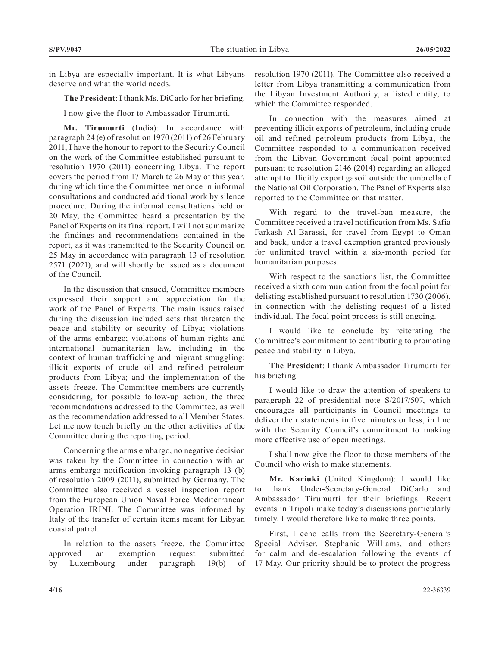in Libya are especially important. It is what Libyans deserve and what the world needs.

**The President**: I thank Ms. DiCarlo for her briefing.

I now give the floor to Ambassador Tirumurti.

**Mr. Tirumurti** (India): In accordance with paragraph 24 (e) of resolution 1970 (2011) of 26 February 2011, I have the honour to report to the Security Council on the work of the Committee established pursuant to resolution 1970 (2011) concerning Libya. The report covers the period from 17 March to 26 May of this year, during which time the Committee met once in informal consultations and conducted additional work by silence procedure. During the informal consultations held on 20 May, the Committee heard a presentation by the Panel of Experts on its final report. I will not summarize the findings and recommendations contained in the report, as it was transmitted to the Security Council on 25 May in accordance with paragraph 13 of resolution 2571 (2021), and will shortly be issued as a document of the Council.

In the discussion that ensued, Committee members expressed their support and appreciation for the work of the Panel of Experts. The main issues raised during the discussion included acts that threaten the peace and stability or security of Libya; violations of the arms embargo; violations of human rights and international humanitarian law, including in the context of human trafficking and migrant smuggling; illicit exports of crude oil and refined petroleum products from Libya; and the implementation of the assets freeze. The Committee members are currently considering, for possible follow-up action, the three recommendations addressed to the Committee, as well as the recommendation addressed to all Member States. Let me now touch briefly on the other activities of the Committee during the reporting period.

Concerning the arms embargo, no negative decision was taken by the Committee in connection with an arms embargo notification invoking paragraph 13 (b) of resolution 2009 (2011), submitted by Germany. The Committee also received a vessel inspection report from the European Union Naval Force Mediterranean Operation IRINI. The Committee was informed by Italy of the transfer of certain items meant for Libyan coastal patrol.

In relation to the assets freeze, the Committee approved an exemption request submitted by Luxembourg under paragraph 19(b) of resolution 1970 (2011). The Committee also received a letter from Libya transmitting a communication from the Libyan Investment Authority, a listed entity, to which the Committee responded.

In connection with the measures aimed at preventing illicit exports of petroleum, including crude oil and refined petroleum products from Libya, the Committee responded to a communication received from the Libyan Government focal point appointed pursuant to resolution 2146 (2014) regarding an alleged attempt to illicitly export gasoil outside the umbrella of the National Oil Corporation. The Panel of Experts also reported to the Committee on that matter.

With regard to the travel-ban measure, the Committee received a travel notification from Ms. Safia Farkash Al-Barassi, for travel from Egypt to Oman and back, under a travel exemption granted previously for unlimited travel within a six-month period for humanitarian purposes.

With respect to the sanctions list, the Committee received a sixth communication from the focal point for delisting established pursuant to resolution 1730 (2006), in connection with the delisting request of a listed individual. The focal point process is still ongoing.

I would like to conclude by reiterating the Committee's commitment to contributing to promoting peace and stability in Libya.

**The President**: I thank Ambassador Tirumurti for his briefing.

I would like to draw the attention of speakers to paragraph 22 of presidential note S/2017/507, which encourages all participants in Council meetings to deliver their statements in five minutes or less, in line with the Security Council's commitment to making more effective use of open meetings.

I shall now give the floor to those members of the Council who wish to make statements.

**Mr. Kariuki** (United Kingdom): I would like to thank Under-Secretary-General DiCarlo and Ambassador Tirumurti for their briefings. Recent events in Tripoli make today's discussions particularly timely. I would therefore like to make three points.

First, I echo calls from the Secretary-General's Special Adviser, Stephanie Williams, and others for calm and de-escalation following the events of 17 May. Our priority should be to protect the progress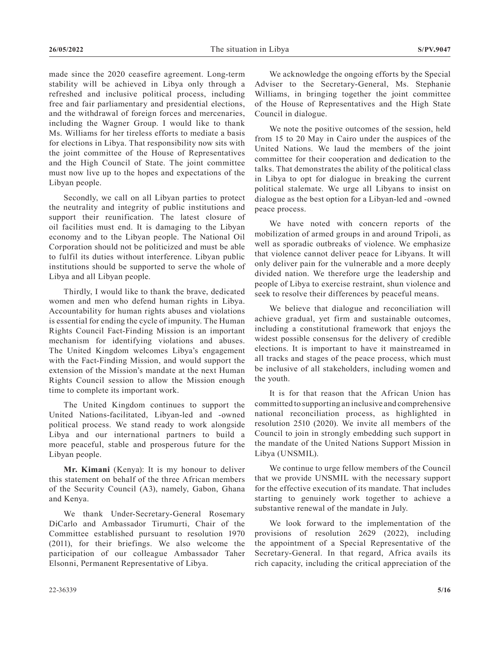made since the 2020 ceasefire agreement. Long-term stability will be achieved in Libya only through a refreshed and inclusive political process, including free and fair parliamentary and presidential elections, and the withdrawal of foreign forces and mercenaries, including the Wagner Group. I would like to thank Ms. Williams for her tireless efforts to mediate a basis for elections in Libya. That responsibility now sits with the joint committee of the House of Representatives and the High Council of State. The joint committee must now live up to the hopes and expectations of the Libyan people.

Secondly, we call on all Libyan parties to protect the neutrality and integrity of public institutions and support their reunification. The latest closure of oil facilities must end. It is damaging to the Libyan economy and to the Libyan people. The National Oil Corporation should not be politicized and must be able to fulfil its duties without interference. Libyan public institutions should be supported to serve the whole of Libya and all Libyan people.

Thirdly, I would like to thank the brave, dedicated women and men who defend human rights in Libya. Accountability for human rights abuses and violations is essential for ending the cycle of impunity. The Human Rights Council Fact-Finding Mission is an important mechanism for identifying violations and abuses. The United Kingdom welcomes Libya's engagement with the Fact-Finding Mission, and would support the extension of the Mission's mandate at the next Human Rights Council session to allow the Mission enough time to complete its important work.

The United Kingdom continues to support the United Nations-facilitated, Libyan-led and -owned political process. We stand ready to work alongside Libya and our international partners to build a more peaceful, stable and prosperous future for the Libyan people.

**Mr. Kimani** (Kenya): It is my honour to deliver this statement on behalf of the three African members of the Security Council (A3), namely, Gabon, Ghana and Kenya.

We thank Under-Secretary-General Rosemary DiCarlo and Ambassador Tirumurti, Chair of the Committee established pursuant to resolution 1970 (2011), for their briefings. We also welcome the participation of our colleague Ambassador Taher Elsonni, Permanent Representative of Libya.

We acknowledge the ongoing efforts by the Special Adviser to the Secretary-General, Ms. Stephanie Williams, in bringing together the joint committee of the House of Representatives and the High State Council in dialogue.

We note the positive outcomes of the session, held from 15 to 20 May in Cairo under the auspices of the United Nations. We laud the members of the joint committee for their cooperation and dedication to the talks. That demonstrates the ability of the political class in Libya to opt for dialogue in breaking the current political stalemate. We urge all Libyans to insist on dialogue as the best option for a Libyan-led and -owned peace process.

We have noted with concern reports of the mobilization of armed groups in and around Tripoli, as well as sporadic outbreaks of violence. We emphasize that violence cannot deliver peace for Libyans. It will only deliver pain for the vulnerable and a more deeply divided nation. We therefore urge the leadership and people of Libya to exercise restraint, shun violence and seek to resolve their differences by peaceful means.

We believe that dialogue and reconciliation will achieve gradual, yet firm and sustainable outcomes, including a constitutional framework that enjoys the widest possible consensus for the delivery of credible elections. It is important to have it mainstreamed in all tracks and stages of the peace process, which must be inclusive of all stakeholders, including women and the youth.

It is for that reason that the African Union has committed to supporting an inclusive and comprehensive national reconciliation process, as highlighted in resolution 2510 (2020). We invite all members of the Council to join in strongly embedding such support in the mandate of the United Nations Support Mission in Libya (UNSMIL).

We continue to urge fellow members of the Council that we provide UNSMIL with the necessary support for the effective execution of its mandate. That includes starting to genuinely work together to achieve a substantive renewal of the mandate in July.

We look forward to the implementation of the provisions of resolution 2629 (2022), including the appointment of a Special Representative of the Secretary-General. In that regard, Africa avails its rich capacity, including the critical appreciation of the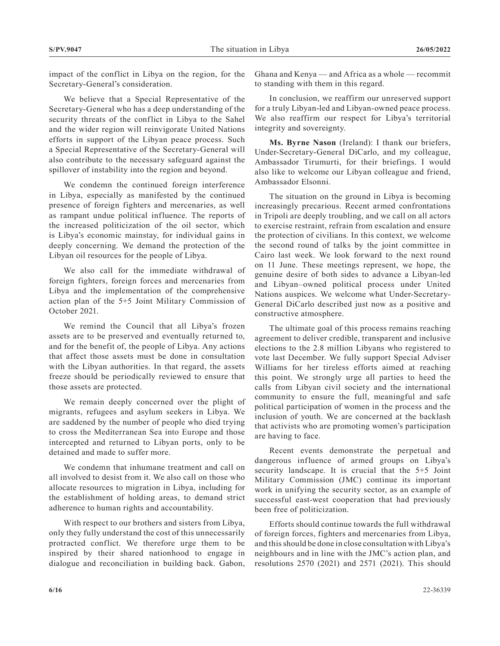impact of the conflict in Libya on the region, for the Secretary-General's consideration.

We believe that a Special Representative of the Secretary-General who has a deep understanding of the security threats of the conflict in Libya to the Sahel and the wider region will reinvigorate United Nations efforts in support of the Libyan peace process. Such a Special Representative of the Secretary-General will also contribute to the necessary safeguard against the spillover of instability into the region and beyond.

We condemn the continued foreign interference in Libya, especially as manifested by the continued presence of foreign fighters and mercenaries, as well as rampant undue political influence. The reports of the increased politicization of the oil sector, which is Libya's economic mainstay, for individual gains in deeply concerning. We demand the protection of the Libyan oil resources for the people of Libya.

We also call for the immediate withdrawal of foreign fighters, foreign forces and mercenaries from Libya and the implementation of the comprehensive action plan of the 5+5 Joint Military Commission of October 2021.

We remind the Council that all Libya's frozen assets are to be preserved and eventually returned to, and for the benefit of, the people of Libya. Any actions that affect those assets must be done in consultation with the Libyan authorities. In that regard, the assets freeze should be periodically reviewed to ensure that those assets are protected.

We remain deeply concerned over the plight of migrants, refugees and asylum seekers in Libya. We are saddened by the number of people who died trying to cross the Mediterranean Sea into Europe and those intercepted and returned to Libyan ports, only to be detained and made to suffer more.

We condemn that inhumane treatment and call on all involved to desist from it. We also call on those who allocate resources to migration in Libya, including for the establishment of holding areas, to demand strict adherence to human rights and accountability.

With respect to our brothers and sisters from Libya, only they fully understand the cost of this unnecessarily protracted conflict. We therefore urge them to be inspired by their shared nationhood to engage in dialogue and reconciliation in building back. Gabon, Ghana and Kenya — and Africa as a whole — recommit to standing with them in this regard.

In conclusion, we reaffirm our unreserved support for a truly Libyan-led and Libyan-owned peace process. We also reaffirm our respect for Libya's territorial integrity and sovereignty.

**Ms. Byrne Nason** (Ireland): I thank our briefers, Under-Secretary-General DiCarlo, and my colleague, Ambassador Tirumurti, for their briefings. I would also like to welcome our Libyan colleague and friend, Ambassador Elsonni.

The situation on the ground in Libya is becoming increasingly precarious. Recent armed confrontations in Tripoli are deeply troubling, and we call on all actors to exercise restraint, refrain from escalation and ensure the protection of civilians. In this context, we welcome the second round of talks by the joint committee in Cairo last week. We look forward to the next round on 11 June. These meetings represent, we hope, the genuine desire of both sides to advance a Libyan-led and Libyan–owned political process under United Nations auspices. We welcome what Under-Secretary-General DiCarlo described just now as a positive and constructive atmosphere.

The ultimate goal of this process remains reaching agreement to deliver credible, transparent and inclusive elections to the 2.8 million Libyans who registered to vote last December. We fully support Special Adviser Williams for her tireless efforts aimed at reaching this point. We strongly urge all parties to heed the calls from Libyan civil society and the international community to ensure the full, meaningful and safe political participation of women in the process and the inclusion of youth. We are concerned at the backlash that activists who are promoting women's participation are having to face.

Recent events demonstrate the perpetual and dangerous influence of armed groups on Libya's security landscape. It is crucial that the 5+5 Joint Military Commission (JMC) continue its important work in unifying the security sector, as an example of successful east-west cooperation that had previously been free of politicization.

Efforts should continue towards the full withdrawal of foreign forces, fighters and mercenaries from Libya, and this should be done in close consultation with Libya's neighbours and in line with the JMC's action plan, and resolutions 2570 (2021) and 2571 (2021). This should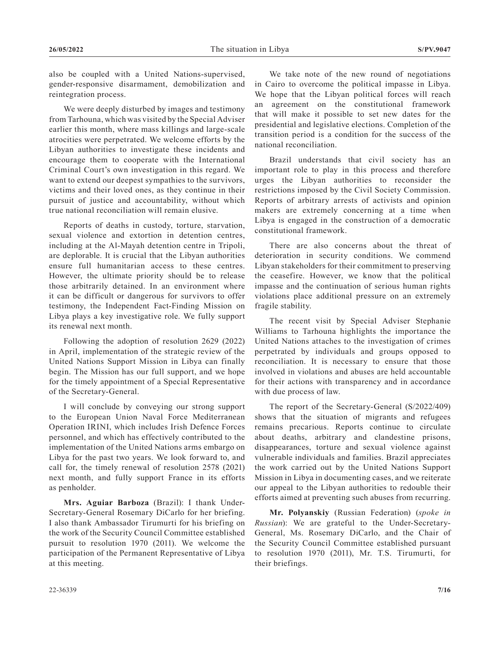also be coupled with a United Nations-supervised, gender-responsive disarmament, demobilization and reintegration process.

We were deeply disturbed by images and testimony from Tarhouna, which was visited by the Special Adviser earlier this month, where mass killings and large-scale atrocities were perpetrated. We welcome efforts by the Libyan authorities to investigate these incidents and encourage them to cooperate with the International Criminal Court's own investigation in this regard. We want to extend our deepest sympathies to the survivors, victims and their loved ones, as they continue in their pursuit of justice and accountability, without which true national reconciliation will remain elusive.

Reports of deaths in custody, torture, starvation, sexual violence and extortion in detention centres, including at the Al-Mayah detention centre in Tripoli, are deplorable. It is crucial that the Libyan authorities ensure full humanitarian access to these centres. However, the ultimate priority should be to release those arbitrarily detained. In an environment where it can be difficult or dangerous for survivors to offer testimony, the Independent Fact-Finding Mission on Libya plays a key investigative role. We fully support its renewal next month.

Following the adoption of resolution 2629 (2022) in April, implementation of the strategic review of the United Nations Support Mission in Libya can finally begin. The Mission has our full support, and we hope for the timely appointment of a Special Representative of the Secretary-General.

I will conclude by conveying our strong support to the European Union Naval Force Mediterranean Operation IRINI, which includes Irish Defence Forces personnel, and which has effectively contributed to the implementation of the United Nations arms embargo on Libya for the past two years. We look forward to, and call for, the timely renewal of resolution 2578 (2021) next month, and fully support France in its efforts as penholder.

**Mrs. Aguiar Barboza** (Brazil): I thank Under-Secretary-General Rosemary DiCarlo for her briefing. I also thank Ambassador Tirumurti for his briefing on the work of the Security Council Committee established pursuit to resolution 1970 (2011). We welcome the participation of the Permanent Representative of Libya at this meeting.

We take note of the new round of negotiations in Cairo to overcome the political impasse in Libya. We hope that the Libyan political forces will reach an agreement on the constitutional framework that will make it possible to set new dates for the presidential and legislative elections. Completion of the transition period is a condition for the success of the national reconciliation.

Brazil understands that civil society has an important role to play in this process and therefore urges the Libyan authorities to reconsider the restrictions imposed by the Civil Society Commission. Reports of arbitrary arrests of activists and opinion makers are extremely concerning at a time when Libya is engaged in the construction of a democratic constitutional framework.

There are also concerns about the threat of deterioration in security conditions. We commend Libyan stakeholders for their commitment to preserving the ceasefire. However, we know that the political impasse and the continuation of serious human rights violations place additional pressure on an extremely fragile stability.

The recent visit by Special Adviser Stephanie Williams to Tarhouna highlights the importance the United Nations attaches to the investigation of crimes perpetrated by individuals and groups opposed to reconciliation. It is necessary to ensure that those involved in violations and abuses are held accountable for their actions with transparency and in accordance with due process of law.

The report of the Secretary-General (S/2022/409) shows that the situation of migrants and refugees remains precarious. Reports continue to circulate about deaths, arbitrary and clandestine prisons, disappearances, torture and sexual violence against vulnerable individuals and families. Brazil appreciates the work carried out by the United Nations Support Mission in Libya in documenting cases, and we reiterate our appeal to the Libyan authorities to redouble their efforts aimed at preventing such abuses from recurring.

**Mr. Polyanskiy** (Russian Federation) (*spoke in Russian*): We are grateful to the Under-Secretary-General, Ms. Rosemary DiCarlo, and the Chair of the Security Council Committee established pursuant to resolution 1970 (2011), Mr. T.S. Tirumurti, for their briefings.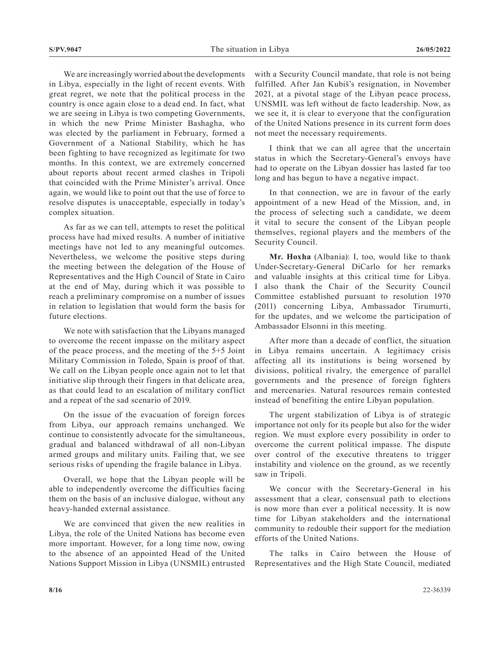We are increasingly worried about the developments in Libya, especially in the light of recent events. With great regret, we note that the political process in the country is once again close to a dead end. In fact, what we are seeing in Libya is two competing Governments, in which the new Prime Minister Bashagha, who was elected by the parliament in February, formed a Government of a National Stability, which he has been fighting to have recognized as legitimate for two months. In this context, we are extremely concerned about reports about recent armed clashes in Tripoli that coincided with the Prime Minister's arrival. Once again, we would like to point out that the use of force to resolve disputes is unacceptable, especially in today's complex situation.

As far as we can tell, attempts to reset the political process have had mixed results. A number of initiative meetings have not led to any meaningful outcomes. Nevertheless, we welcome the positive steps during the meeting between the delegation of the House of Representatives and the High Council of State in Cairo at the end of May, during which it was possible to reach a preliminary compromise on a number of issues in relation to legislation that would form the basis for future elections.

We note with satisfaction that the Libyans managed to overcome the recent impasse on the military aspect of the peace process, and the meeting of the 5+5 Joint Military Commission in Toledo, Spain is proof of that. We call on the Libyan people once again not to let that initiative slip through their fingers in that delicate area, as that could lead to an escalation of military conflict and a repeat of the sad scenario of 2019.

On the issue of the evacuation of foreign forces from Libya, our approach remains unchanged. We continue to consistently advocate for the simultaneous, gradual and balanced withdrawal of all non-Libyan armed groups and military units. Failing that, we see serious risks of upending the fragile balance in Libya.

Overall, we hope that the Libyan people will be able to independently overcome the difficulties facing them on the basis of an inclusive dialogue, without any heavy-handed external assistance.

We are convinced that given the new realities in Libya, the role of the United Nations has become even more important. However, for a long time now, owing to the absence of an appointed Head of the United Nations Support Mission in Libya (UNSMIL) entrusted

with a Security Council mandate, that role is not being fulfilled. After Jan Kubiš's resignation, in November 2021, at a pivotal stage of the Libyan peace process, UNSMIL was left without de facto leadership. Now, as we see it, it is clear to everyone that the configuration of the United Nations presence in its current form does not meet the necessary requirements.

I think that we can all agree that the uncertain status in which the Secretary-General's envoys have had to operate on the Libyan dossier has lasted far too long and has begun to have a negative impact.

In that connection, we are in favour of the early appointment of a new Head of the Mission, and, in the process of selecting such a candidate, we deem it vital to secure the consent of the Libyan people themselves, regional players and the members of the Security Council.

**Mr. Hoxha** (Albania): I, too, would like to thank Under-Secretary-General DiCarlo for her remarks and valuable insights at this critical time for Libya. I also thank the Chair of the Security Council Committee established pursuant to resolution 1970 (2011) concerning Libya, Ambassador Tirumurti, for the updates, and we welcome the participation of Ambassador Elsonni in this meeting.

After more than a decade of conflict, the situation in Libya remains uncertain. A legitimacy crisis affecting all its institutions is being worsened by divisions, political rivalry, the emergence of parallel governments and the presence of foreign fighters and mercenaries. Natural resources remain contested instead of benefiting the entire Libyan population.

The urgent stabilization of Libya is of strategic importance not only for its people but also for the wider region. We must explore every possibility in order to overcome the current political impasse. The dispute over control of the executive threatens to trigger instability and violence on the ground, as we recently saw in Tripoli.

We concur with the Secretary-General in his assessment that a clear, consensual path to elections is now more than ever a political necessity. It is now time for Libyan stakeholders and the international community to redouble their support for the mediation efforts of the United Nations.

The talks in Cairo between the House of Representatives and the High State Council, mediated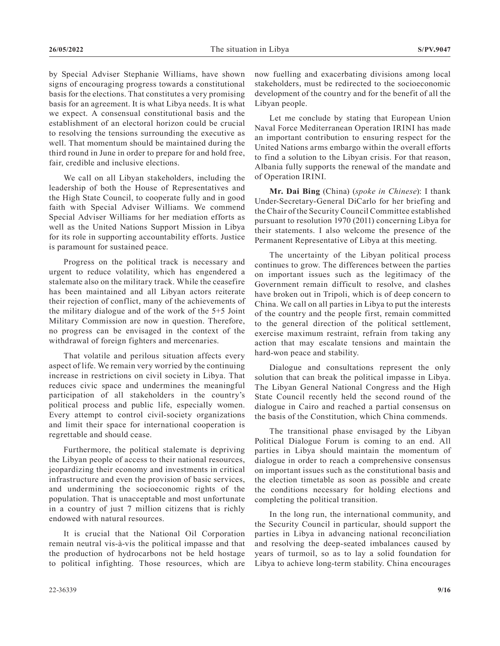by Special Adviser Stephanie Williams, have shown signs of encouraging progress towards a constitutional basis for the elections. That constitutes a very promising basis for an agreement. It is what Libya needs. It is what we expect. A consensual constitutional basis and the establishment of an electoral horizon could be crucial to resolving the tensions surrounding the executive as well. That momentum should be maintained during the third round in June in order to prepare for and hold free, fair, credible and inclusive elections.

We call on all Libyan stakeholders, including the leadership of both the House of Representatives and the High State Council, to cooperate fully and in good faith with Special Adviser Williams. We commend Special Adviser Williams for her mediation efforts as well as the United Nations Support Mission in Libya for its role in supporting accountability efforts. Justice is paramount for sustained peace.

Progress on the political track is necessary and urgent to reduce volatility, which has engendered a stalemate also on the military track. While the ceasefire has been maintained and all Libyan actors reiterate their rejection of conflict, many of the achievements of the military dialogue and of the work of the 5+5 Joint Military Commission are now in question. Therefore, no progress can be envisaged in the context of the withdrawal of foreign fighters and mercenaries.

That volatile and perilous situation affects every aspect of life. We remain very worried by the continuing increase in restrictions on civil society in Libya. That reduces civic space and undermines the meaningful participation of all stakeholders in the country's political process and public life, especially women. Every attempt to control civil-society organizations and limit their space for international cooperation is regrettable and should cease.

Furthermore, the political stalemate is depriving the Libyan people of access to their national resources, jeopardizing their economy and investments in critical infrastructure and even the provision of basic services, and undermining the socioeconomic rights of the population. That is unacceptable and most unfortunate in a country of just 7 million citizens that is richly endowed with natural resources.

It is crucial that the National Oil Corporation remain neutral vis-à-vis the political impasse and that the production of hydrocarbons not be held hostage to political infighting. Those resources, which are

Let me conclude by stating that European Union Naval Force Mediterranean Operation IRINI has made an important contribution to ensuring respect for the United Nations arms embargo within the overall efforts to find a solution to the Libyan crisis. For that reason, Albania fully supports the renewal of the mandate and of Operation IRINI.

**Mr. Dai Bing** (China) (*spoke in Chinese*): I thank Under-Secretary-General DiCarlo for her briefing and the Chair of the Security Council Committee established pursuant to resolution 1970 (2011) concerning Libya for their statements. I also welcome the presence of the Permanent Representative of Libya at this meeting.

The uncertainty of the Libyan political process continues to grow. The differences between the parties on important issues such as the legitimacy of the Government remain difficult to resolve, and clashes have broken out in Tripoli, which is of deep concern to China. We call on all parties in Libya to put the interests of the country and the people first, remain committed to the general direction of the political settlement, exercise maximum restraint, refrain from taking any action that may escalate tensions and maintain the hard-won peace and stability.

Dialogue and consultations represent the only solution that can break the political impasse in Libya. The Libyan General National Congress and the High State Council recently held the second round of the dialogue in Cairo and reached a partial consensus on the basis of the Constitution, which China commends.

The transitional phase envisaged by the Libyan Political Dialogue Forum is coming to an end. All parties in Libya should maintain the momentum of dialogue in order to reach a comprehensive consensus on important issues such as the constitutional basis and the election timetable as soon as possible and create the conditions necessary for holding elections and completing the political transition.

In the long run, the international community, and the Security Council in particular, should support the parties in Libya in advancing national reconciliation and resolving the deep-seated imbalances caused by years of turmoil, so as to lay a solid foundation for Libya to achieve long-term stability. China encourages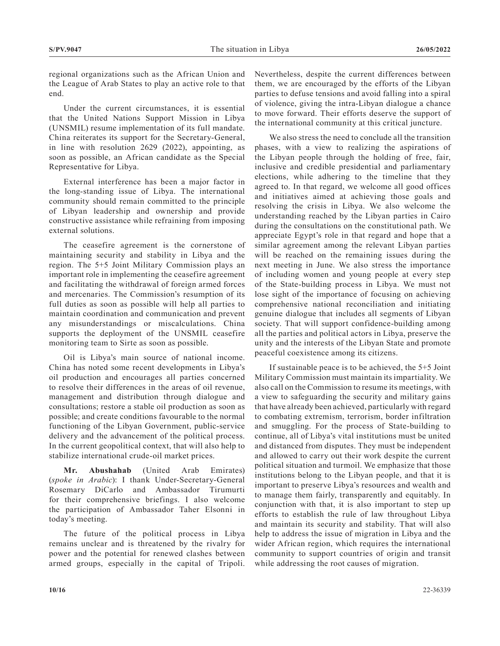regional organizations such as the African Union and the League of Arab States to play an active role to that end.

Under the current circumstances, it is essential that the United Nations Support Mission in Libya (UNSMIL) resume implementation of its full mandate. China reiterates its support for the Secretary-General, in line with resolution 2629 (2022), appointing, as soon as possible, an African candidate as the Special Representative for Libya.

External interference has been a major factor in the long-standing issue of Libya. The international community should remain committed to the principle of Libyan leadership and ownership and provide constructive assistance while refraining from imposing external solutions.

The ceasefire agreement is the cornerstone of maintaining security and stability in Libya and the region. The 5+5 Joint Military Commission plays an important role in implementing the ceasefire agreement and facilitating the withdrawal of foreign armed forces and mercenaries. The Commission's resumption of its full duties as soon as possible will help all parties to maintain coordination and communication and prevent any misunderstandings or miscalculations. China supports the deployment of the UNSMIL ceasefire monitoring team to Sirte as soon as possible.

Oil is Libya's main source of national income. China has noted some recent developments in Libya's oil production and encourages all parties concerned to resolve their differences in the areas of oil revenue, management and distribution through dialogue and consultations; restore a stable oil production as soon as possible; and create conditions favourable to the normal functioning of the Libyan Government, public-service delivery and the advancement of the political process. In the current geopolitical context, that will also help to stabilize international crude-oil market prices.

**Mr. Abushahab** (United Arab Emirates) (*spoke in Arabic*): I thank Under-Secretary-General Rosemary DiCarlo and Ambassador Tirumurti for their comprehensive briefings. I also welcome the participation of Ambassador Taher Elsonni in today's meeting.

The future of the political process in Libya remains unclear and is threatened by the rivalry for power and the potential for renewed clashes between armed groups, especially in the capital of Tripoli. Nevertheless, despite the current differences between them, we are encouraged by the efforts of the Libyan parties to defuse tensions and avoid falling into a spiral of violence, giving the intra-Libyan dialogue a chance to move forward. Their efforts deserve the support of the international community at this critical juncture.

We also stress the need to conclude all the transition phases, with a view to realizing the aspirations of the Libyan people through the holding of free, fair, inclusive and credible presidential and parliamentary elections, while adhering to the timeline that they agreed to. In that regard, we welcome all good offices and initiatives aimed at achieving those goals and resolving the crisis in Libya. We also welcome the understanding reached by the Libyan parties in Cairo during the consultations on the constitutional path. We appreciate Egypt's role in that regard and hope that a similar agreement among the relevant Libyan parties will be reached on the remaining issues during the next meeting in June. We also stress the importance of including women and young people at every step of the State-building process in Libya. We must not lose sight of the importance of focusing on achieving comprehensive national reconciliation and initiating genuine dialogue that includes all segments of Libyan society. That will support confidence-building among all the parties and political actors in Libya, preserve the unity and the interests of the Libyan State and promote peaceful coexistence among its citizens.

If sustainable peace is to be achieved, the 5+5 Joint Military Commission must maintain its impartiality. We also call on the Commission to resume its meetings, with a view to safeguarding the security and military gains that have already been achieved, particularly with regard to combating extremism, terrorism, border infiltration and smuggling. For the process of State-building to continue, all of Libya's vital institutions must be united and distanced from disputes. They must be independent and allowed to carry out their work despite the current political situation and turmoil. We emphasize that those institutions belong to the Libyan people, and that it is important to preserve Libya's resources and wealth and to manage them fairly, transparently and equitably. In conjunction with that, it is also important to step up efforts to establish the rule of law throughout Libya and maintain its security and stability. That will also help to address the issue of migration in Libya and the wider African region, which requires the international community to support countries of origin and transit while addressing the root causes of migration.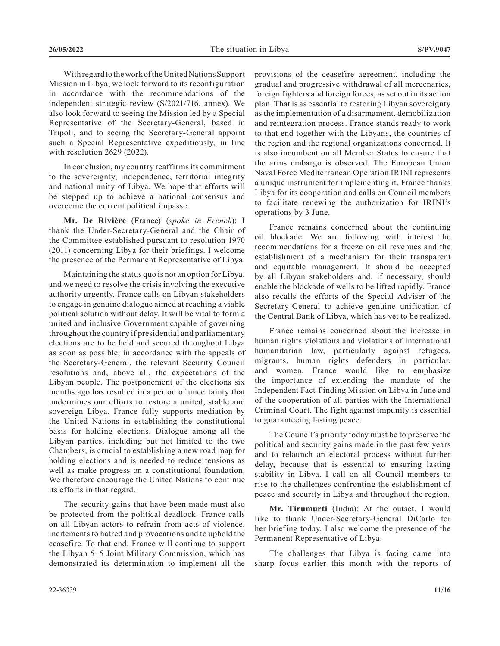With regard to the work of the United Nations Support Mission in Libya, we look forward to its reconfiguration in accordance with the recommendations of the independent strategic review (S/2021/716, annex). We also look forward to seeing the Mission led by a Special Representative of the Secretary-General, based in Tripoli, and to seeing the Secretary-General appoint such a Special Representative expeditiously, in line with resolution 2629 (2022).

In conclusion, my country reaffirms its commitment to the sovereignty, independence, territorial integrity and national unity of Libya. We hope that efforts will be stepped up to achieve a national consensus and overcome the current political impasse.

**Mr. De Rivière** (France) (*spoke in French*): I thank the Under-Secretary-General and the Chair of the Committee established pursuant to resolution 1970 (2011) concerning Libya for their briefings. I welcome the presence of the Permanent Representative of Libya.

Maintaining the status quo is not an option for Libya, and we need to resolve the crisis involving the executive authority urgently. France calls on Libyan stakeholders to engage in genuine dialogue aimed at reaching a viable political solution without delay. It will be vital to form a united and inclusive Government capable of governing throughout the country if presidential and parliamentary elections are to be held and secured throughout Libya as soon as possible, in accordance with the appeals of the Secretary-General, the relevant Security Council resolutions and, above all, the expectations of the Libyan people. The postponement of the elections six months ago has resulted in a period of uncertainty that undermines our efforts to restore a united, stable and sovereign Libya. France fully supports mediation by the United Nations in establishing the constitutional basis for holding elections. Dialogue among all the Libyan parties, including but not limited to the two Chambers, is crucial to establishing a new road map for holding elections and is needed to reduce tensions as well as make progress on a constitutional foundation. We therefore encourage the United Nations to continue its efforts in that regard.

The security gains that have been made must also be protected from the political deadlock. France calls on all Libyan actors to refrain from acts of violence, incitements to hatred and provocations and to uphold the ceasefire. To that end, France will continue to support the Libyan 5+5 Joint Military Commission, which has demonstrated its determination to implement all the

provisions of the ceasefire agreement, including the gradual and progressive withdrawal of all mercenaries, foreign fighters and foreign forces, as set out in its action plan. That is as essential to restoring Libyan sovereignty as the implementation of a disarmament, demobilization and reintegration process. France stands ready to work to that end together with the Libyans, the countries of the region and the regional organizations concerned. It is also incumbent on all Member States to ensure that the arms embargo is observed. The European Union Naval Force Mediterranean Operation IRINI represents a unique instrument for implementing it. France thanks Libya for its cooperation and calls on Council members to facilitate renewing the authorization for IRINI's operations by 3 June.

France remains concerned about the continuing oil blockade. We are following with interest the recommendations for a freeze on oil revenues and the establishment of a mechanism for their transparent and equitable management. It should be accepted by all Libyan stakeholders and, if necessary, should enable the blockade of wells to be lifted rapidly. France also recalls the efforts of the Special Adviser of the Secretary-General to achieve genuine unification of the Central Bank of Libya, which has yet to be realized.

France remains concerned about the increase in human rights violations and violations of international humanitarian law, particularly against refugees, migrants, human rights defenders in particular, and women. France would like to emphasize the importance of extending the mandate of the Independent Fact-Finding Mission on Libya in June and of the cooperation of all parties with the International Criminal Court. The fight against impunity is essential to guaranteeing lasting peace.

The Council's priority today must be to preserve the political and security gains made in the past few years and to relaunch an electoral process without further delay, because that is essential to ensuring lasting stability in Libya. I call on all Council members to rise to the challenges confronting the establishment of peace and security in Libya and throughout the region.

**Mr. Tirumurti** (India): At the outset, I would like to thank Under-Secretary-General DiCarlo for her briefing today. I also welcome the presence of the Permanent Representative of Libya.

The challenges that Libya is facing came into sharp focus earlier this month with the reports of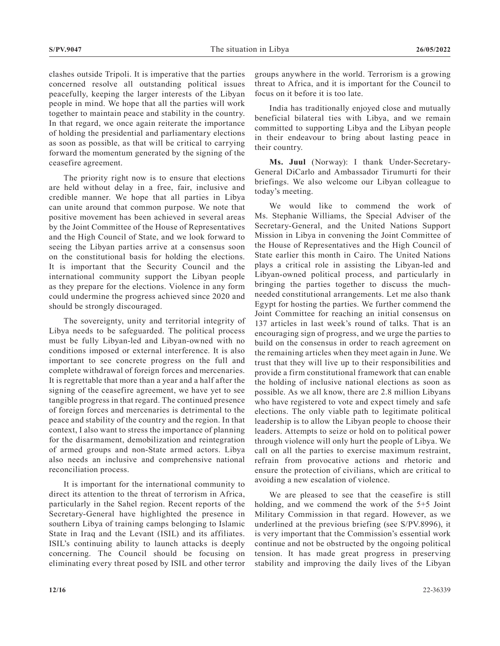clashes outside Tripoli. It is imperative that the parties concerned resolve all outstanding political issues peacefully, keeping the larger interests of the Libyan people in mind. We hope that all the parties will work together to maintain peace and stability in the country. In that regard, we once again reiterate the importance of holding the presidential and parliamentary elections as soon as possible, as that will be critical to carrying forward the momentum generated by the signing of the ceasefire agreement.

The priority right now is to ensure that elections are held without delay in a free, fair, inclusive and credible manner. We hope that all parties in Libya can unite around that common purpose. We note that positive movement has been achieved in several areas by the Joint Committee of the House of Representatives and the High Council of State, and we look forward to seeing the Libyan parties arrive at a consensus soon on the constitutional basis for holding the elections. It is important that the Security Council and the international community support the Libyan people as they prepare for the elections. Violence in any form could undermine the progress achieved since 2020 and should be strongly discouraged.

The sovereignty, unity and territorial integrity of Libya needs to be safeguarded. The political process must be fully Libyan-led and Libyan-owned with no conditions imposed or external interference. It is also important to see concrete progress on the full and complete withdrawal of foreign forces and mercenaries. It is regrettable that more than a year and a half after the signing of the ceasefire agreement, we have yet to see tangible progress in that regard. The continued presence of foreign forces and mercenaries is detrimental to the peace and stability of the country and the region. In that context, I also want to stress the importance of planning for the disarmament, demobilization and reintegration of armed groups and non-State armed actors. Libya also needs an inclusive and comprehensive national reconciliation process.

It is important for the international community to direct its attention to the threat of terrorism in Africa, particularly in the Sahel region. Recent reports of the Secretary-General have highlighted the presence in southern Libya of training camps belonging to Islamic State in Iraq and the Levant (ISIL) and its affiliates. ISIL's continuing ability to launch attacks is deeply concerning. The Council should be focusing on eliminating every threat posed by ISIL and other terror

groups anywhere in the world. Terrorism is a growing threat to Africa, and it is important for the Council to focus on it before it is too late.

India has traditionally enjoyed close and mutually beneficial bilateral ties with Libya, and we remain committed to supporting Libya and the Libyan people in their endeavour to bring about lasting peace in their country.

**Ms. Juul** (Norway): I thank Under-Secretary-General DiCarlo and Ambassador Tirumurti for their briefings. We also welcome our Libyan colleague to today's meeting.

We would like to commend the work of Ms. Stephanie Williams, the Special Adviser of the Secretary-General, and the United Nations Support Mission in Libya in convening the Joint Committee of the House of Representatives and the High Council of State earlier this month in Cairo. The United Nations plays a critical role in assisting the Libyan-led and Libyan-owned political process, and particularly in bringing the parties together to discuss the muchneeded constitutional arrangements. Let me also thank Egypt for hosting the parties. We further commend the Joint Committee for reaching an initial consensus on 137 articles in last week's round of talks. That is an encouraging sign of progress, and we urge the parties to build on the consensus in order to reach agreement on the remaining articles when they meet again in June. We trust that they will live up to their responsibilities and provide a firm constitutional framework that can enable the holding of inclusive national elections as soon as possible. As we all know, there are 2.8 million Libyans who have registered to vote and expect timely and safe elections. The only viable path to legitimate political leadership is to allow the Libyan people to choose their leaders. Attempts to seize or hold on to political power through violence will only hurt the people of Libya. We call on all the parties to exercise maximum restraint, refrain from provocative actions and rhetoric and ensure the protection of civilians, which are critical to avoiding a new escalation of violence.

We are pleased to see that the ceasefire is still holding, and we commend the work of the 5+5 Joint Military Commission in that regard. However, as we underlined at the previous briefing (see S/PV.8996), it is very important that the Commission's essential work continue and not be obstructed by the ongoing political tension. It has made great progress in preserving stability and improving the daily lives of the Libyan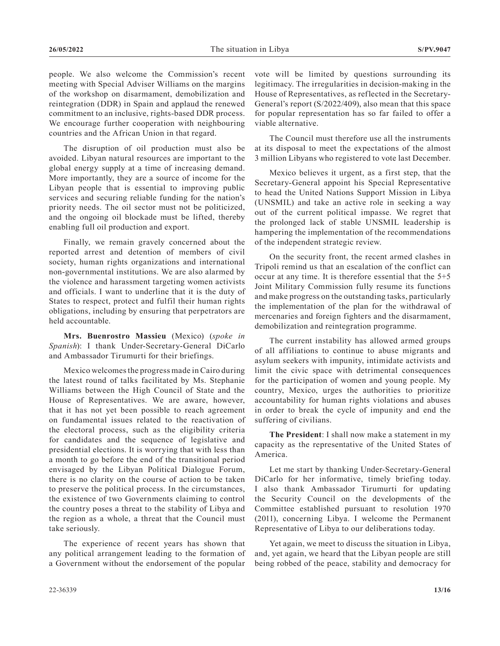people. We also welcome the Commission's recent meeting with Special Adviser Williams on the margins of the workshop on disarmament, demobilization and reintegration (DDR) in Spain and applaud the renewed commitment to an inclusive, rights-based DDR process. We encourage further cooperation with neighbouring countries and the African Union in that regard.

The disruption of oil production must also be avoided. Libyan natural resources are important to the global energy supply at a time of increasing demand. More importantly, they are a source of income for the Libyan people that is essential to improving public services and securing reliable funding for the nation's priority needs. The oil sector must not be politicized, and the ongoing oil blockade must be lifted, thereby enabling full oil production and export.

Finally, we remain gravely concerned about the reported arrest and detention of members of civil society, human rights organizations and international non-governmental institutions. We are also alarmed by the violence and harassment targeting women activists and officials. I want to underline that it is the duty of States to respect, protect and fulfil their human rights obligations, including by ensuring that perpetrators are held accountable.

**Mrs. Buenrostro Massieu** (Mexico) (*spoke in Spanish*): I thank Under-Secretary-General DiCarlo and Ambassador Tirumurti for their briefings.

Mexico welcomes the progress made in Cairo during the latest round of talks facilitated by Ms. Stephanie Williams between the High Council of State and the House of Representatives. We are aware, however, that it has not yet been possible to reach agreement on fundamental issues related to the reactivation of the electoral process, such as the eligibility criteria for candidates and the sequence of legislative and presidential elections. It is worrying that with less than a month to go before the end of the transitional period envisaged by the Libyan Political Dialogue Forum, there is no clarity on the course of action to be taken to preserve the political process. In the circumstances, the existence of two Governments claiming to control the country poses a threat to the stability of Libya and the region as a whole, a threat that the Council must take seriously.

The experience of recent years has shown that any political arrangement leading to the formation of a Government without the endorsement of the popular

vote will be limited by questions surrounding its legitimacy. The irregularities in decision-making in the House of Representatives, as reflected in the Secretary-General's report (S/2022/409), also mean that this space for popular representation has so far failed to offer a viable alternative.

The Council must therefore use all the instruments at its disposal to meet the expectations of the almost 3 million Libyans who registered to vote last December.

Mexico believes it urgent, as a first step, that the Secretary-General appoint his Special Representative to head the United Nations Support Mission in Libya (UNSMIL) and take an active role in seeking a way out of the current political impasse. We regret that the prolonged lack of stable UNSMIL leadership is hampering the implementation of the recommendations of the independent strategic review.

On the security front, the recent armed clashes in Tripoli remind us that an escalation of the conflict can occur at any time. It is therefore essential that the 5+5 Joint Military Commission fully resume its functions and make progress on the outstanding tasks, particularly the implementation of the plan for the withdrawal of mercenaries and foreign fighters and the disarmament, demobilization and reintegration programme.

The current instability has allowed armed groups of all affiliations to continue to abuse migrants and asylum seekers with impunity, intimidate activists and limit the civic space with detrimental consequences for the participation of women and young people. My country, Mexico, urges the authorities to prioritize accountability for human rights violations and abuses in order to break the cycle of impunity and end the suffering of civilians.

**The President**: I shall now make a statement in my capacity as the representative of the United States of America.

Let me start by thanking Under-Secretary-General DiCarlo for her informative, timely briefing today. I also thank Ambassador Tirumurti for updating the Security Council on the developments of the Committee established pursuant to resolution 1970 (2011), concerning Libya. I welcome the Permanent Representative of Libya to our deliberations today.

Yet again, we meet to discuss the situation in Libya, and, yet again, we heard that the Libyan people are still being robbed of the peace, stability and democracy for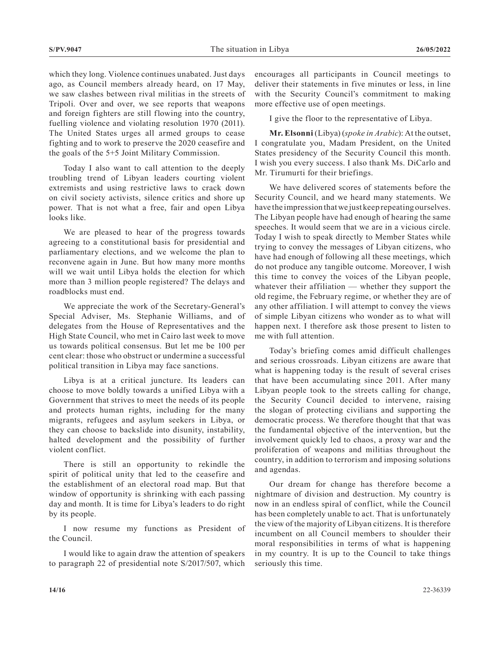which they long. Violence continues unabated. Just days ago, as Council members already heard, on 17 May, we saw clashes between rival militias in the streets of Tripoli. Over and over, we see reports that weapons and foreign fighters are still flowing into the country, fuelling violence and violating resolution 1970 (2011). The United States urges all armed groups to cease fighting and to work to preserve the 2020 ceasefire and the goals of the 5+5 Joint Military Commission.

Today I also want to call attention to the deeply troubling trend of Libyan leaders courting violent extremists and using restrictive laws to crack down on civil society activists, silence critics and shore up power. That is not what a free, fair and open Libya looks like.

We are pleased to hear of the progress towards agreeing to a constitutional basis for presidential and parliamentary elections, and we welcome the plan to reconvene again in June. But how many more months will we wait until Libya holds the election for which more than 3 million people registered? The delays and roadblocks must end.

We appreciate the work of the Secretary-General's Special Adviser, Ms. Stephanie Williams, and of delegates from the House of Representatives and the High State Council, who met in Cairo last week to move us towards political consensus. But let me be 100 per cent clear: those who obstruct or undermine a successful political transition in Libya may face sanctions.

Libya is at a critical juncture. Its leaders can choose to move boldly towards a unified Libya with a Government that strives to meet the needs of its people and protects human rights, including for the many migrants, refugees and asylum seekers in Libya, or they can choose to backslide into disunity, instability, halted development and the possibility of further violent conflict.

There is still an opportunity to rekindle the spirit of political unity that led to the ceasefire and the establishment of an electoral road map. But that window of opportunity is shrinking with each passing day and month. It is time for Libya's leaders to do right by its people.

I now resume my functions as President of the Council.

I would like to again draw the attention of speakers to paragraph 22 of presidential note S/2017/507, which encourages all participants in Council meetings to deliver their statements in five minutes or less, in line with the Security Council's commitment to making more effective use of open meetings.

I give the floor to the representative of Libya.

**Mr. Elsonni** (Libya) (*spoke in Arabic*): At the outset, I congratulate you, Madam President, on the United States presidency of the Security Council this month. I wish you every success. I also thank Ms. DiCarlo and Mr. Tirumurti for their briefings.

We have delivered scores of statements before the Security Council, and we heard many statements. We have the impression that we just keep repeating ourselves. The Libyan people have had enough of hearing the same speeches. It would seem that we are in a vicious circle. Today I wish to speak directly to Member States while trying to convey the messages of Libyan citizens, who have had enough of following all these meetings, which do not produce any tangible outcome. Moreover, I wish this time to convey the voices of the Libyan people, whatever their affiliation — whether they support the old regime, the February regime, or whether they are of any other affiliation. I will attempt to convey the views of simple Libyan citizens who wonder as to what will happen next. I therefore ask those present to listen to me with full attention.

Today's briefing comes amid difficult challenges and serious crossroads. Libyan citizens are aware that what is happening today is the result of several crises that have been accumulating since 2011. After many Libyan people took to the streets calling for change, the Security Council decided to intervene, raising the slogan of protecting civilians and supporting the democratic process. We therefore thought that that was the fundamental objective of the intervention, but the involvement quickly led to chaos, a proxy war and the proliferation of weapons and militias throughout the country, in addition to terrorism and imposing solutions and agendas.

Our dream for change has therefore become a nightmare of division and destruction. My country is now in an endless spiral of conflict, while the Council has been completely unable to act. That is unfortunately the view of the majority of Libyan citizens. It is therefore incumbent on all Council members to shoulder their moral responsibilities in terms of what is happening in my country. It is up to the Council to take things seriously this time.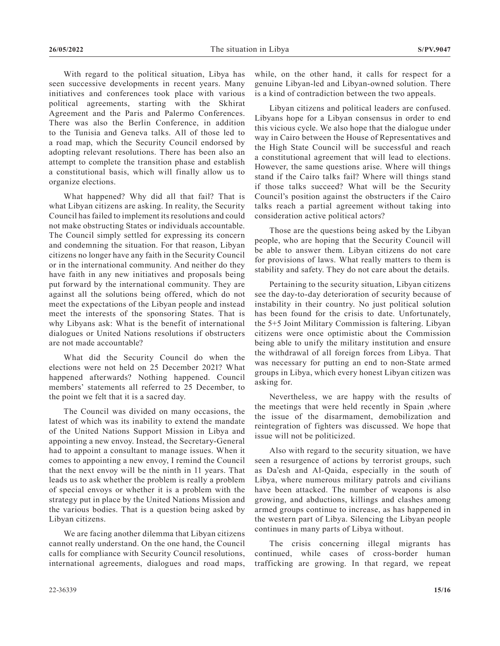With regard to the political situation, Libya has seen successive developments in recent years. Many initiatives and conferences took place with various political agreements, starting with the Skhirat Agreement and the Paris and Palermo Conferences. There was also the Berlin Conference, in addition to the Tunisia and Geneva talks. All of those led to a road map, which the Security Council endorsed by adopting relevant resolutions. There has been also an attempt to complete the transition phase and establish a constitutional basis, which will finally allow us to organize elections.

What happened? Why did all that fail? That is what Libyan citizens are asking. In reality, the Security Council has failed to implement its resolutions and could not make obstructing States or individuals accountable. The Council simply settled for expressing its concern and condemning the situation. For that reason, Libyan citizens no longer have any faith in the Security Council or in the international community. And neither do they have faith in any new initiatives and proposals being put forward by the international community. They are against all the solutions being offered, which do not meet the expectations of the Libyan people and instead meet the interests of the sponsoring States. That is why Libyans ask: What is the benefit of international dialogues or United Nations resolutions if obstructers are not made accountable?

What did the Security Council do when the elections were not held on 25 December 2021? What happened afterwards? Nothing happened. Council members' statements all referred to 25 December, to the point we felt that it is a sacred day.

The Council was divided on many occasions, the latest of which was its inability to extend the mandate of the United Nations Support Mission in Libya and appointing a new envoy. Instead, the Secretary-General had to appoint a consultant to manage issues. When it comes to appointing a new envoy, I remind the Council that the next envoy will be the ninth in 11 years. That leads us to ask whether the problem is really a problem of special envoys or whether it is a problem with the strategy put in place by the United Nations Mission and the various bodies. That is a question being asked by Libyan citizens.

We are facing another dilemma that Libyan citizens cannot really understand. On the one hand, the Council calls for compliance with Security Council resolutions, international agreements, dialogues and road maps,

while, on the other hand, it calls for respect for a genuine Libyan-led and Libyan-owned solution. There is a kind of contradiction between the two appeals.

Libyan citizens and political leaders are confused. Libyans hope for a Libyan consensus in order to end this vicious cycle. We also hope that the dialogue under way in Cairo between the House of Representatives and the High State Council will be successful and reach a constitutional agreement that will lead to elections. However, the same questions arise. Where will things stand if the Cairo talks fail? Where will things stand if those talks succeed? What will be the Security Council's position against the obstructers if the Cairo talks reach a partial agreement without taking into consideration active political actors?

Those are the questions being asked by the Libyan people, who are hoping that the Security Council will be able to answer them. Libyan citizens do not care for provisions of laws. What really matters to them is stability and safety. They do not care about the details.

Pertaining to the security situation, Libyan citizens see the day-to-day deterioration of security because of instability in their country. No just political solution has been found for the crisis to date. Unfortunately, the 5+5 Joint Military Commission is faltering. Libyan citizens were once optimistic about the Commission being able to unify the military institution and ensure the withdrawal of all foreign forces from Libya. That was necessary for putting an end to non-State armed groups in Libya, which every honest Libyan citizen was asking for.

Nevertheless, we are happy with the results of the meetings that were held recently in Spain ,where the issue of the disarmament, demobilization and reintegration of fighters was discussed. We hope that issue will not be politicized.

Also with regard to the security situation, we have seen a resurgence of actions by terrorist groups, such as Da'esh and Al-Qaida, especially in the south of Libya, where numerous military patrols and civilians have been attacked. The number of weapons is also growing, and abductions, killings and clashes among armed groups continue to increase, as has happened in the western part of Libya. Silencing the Libyan people continues in many parts of Libya without.

The crisis concerning illegal migrants has continued, while cases of cross-border human trafficking are growing. In that regard, we repeat